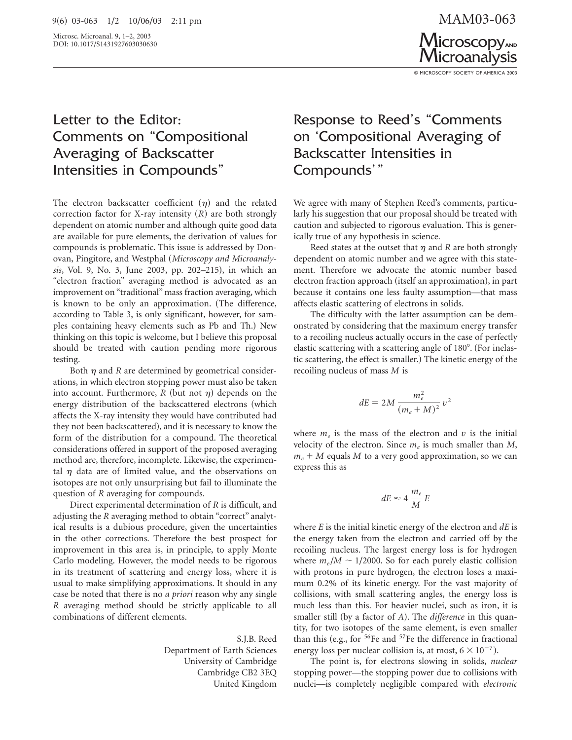Microsc. Microanal. 9, 1-2, 2003<br>DOI: 10.1017/S1431927603030630



## Letter to the Editor: Comments on "Compositional Averaging of Backscatter Intensities in Compounds"

The electron backscatter coefficient  $(\eta)$  and the related correction factor for X-ray intensity  $(R)$  are both strongly dependent on atomic number and although quite good data are available for pure elements, the derivation of values for compounds is problematic. This issue is addressed by Donovan, Pingitore, and Westphal ~*Microscopy and Microanalysis*, Vol. 9, No. 3, June 2003, pp. 202-215), in which an "electron fraction" averaging method is advocated as an improvement on "traditional" mass fraction averaging, which is known to be only an approximation. (The difference, according to Table 3, is only significant, however, for samples containing heavy elements such as Pb and Th.) New thinking on this topic is welcome, but I believe this proposal should be treated with caution pending more rigorous testing.

Both  $\eta$  and *R* are determined by geometrical considerations, in which electron stopping power must also be taken into account. Furthermore,  $R$  (but not  $\eta$ ) depends on the energy distribution of the backscattered electrons (which affects the X-ray intensity they would have contributed had they not been backscattered), and it is necessary to know the form of the distribution for a compound. The theoretical considerations offered in support of the proposed averaging method are, therefore, incomplete. Likewise, the experimental  $\eta$  data are of limited value, and the observations on isotopes are not only unsurprising but fail to illuminate the question of *R* averaging for compounds.

Direct experimental determination of *R* is difficult, and adjusting the *R* averaging method to obtain "correct" analytical results is a dubious procedure, given the uncertainties in the other corrections. Therefore the best prospect for improvement in this area is, in principle, to apply Monte Carlo modeling. However, the model needs to be rigorous in its treatment of scattering and energy loss, where it is usual to make simplifying approximations. It should in any case be noted that there is no *a priori* reason why any single *R* averaging method should be strictly applicable to all combinations of different elements.

## S.J.B. Reed Department of Earth Sciences University of Cambridge Cambridge CB2 3EQ United Kingdom

## Response to Reed's "Comments on 'Compositional Averaging of Backscatter Intensities in Compounds'"

We agree with many of Stephen Reed's comments, particularly his suggestion that our proposal should be treated with caution and subjected to rigorous evaluation. This is generically true of any hypothesis in science.

Reed states at the outset that  $\eta$  and *R* are both strongly dependent on atomic number and we agree with this statement. Therefore we advocate the atomic number based electron fraction approach (itself an approximation), in part because it contains one less faulty assumption—that mass affects elastic scattering of electrons in solids.

The difficulty with the latter assumption can be demonstrated by considering that the maximum energy transfer to a recoiling nucleus actually occurs in the case of perfectly elastic scattering with a scattering angle of 180°. (For inelastic scattering, the effect is smaller.) The kinetic energy of the recoiling nucleus of mass *M* is

$$
dE = 2M \frac{m_e^2}{(m_e + M)^2} v^2
$$

where  $m_e$  is the mass of the electron and  $v$  is the initial velocity of the electron. Since  $m_e$  is much smaller than  $M$ ,  $m_e + M$  equals *M* to a very good approximation, so we can express this as

$$
dE \approx 4 \frac{m_e}{M} E
$$

where *E* is the initial kinetic energy of the electron and *dE* is the energy taken from the electron and carried off by the recoiling nucleus. The largest energy loss is for hydrogen where  $m_e/M \sim 1/2000$ . So for each purely elastic collision with protons in pure hydrogen, the electron loses a maximum 0.2% of its kinetic energy. For the vast majority of collisions, with small scattering angles, the energy loss is much less than this. For heavier nuclei, such as iron, it is smaller still (by a factor of *A*). The *difference* in this quantity, for two isotopes of the same element, is even smaller than this (e.g., for  $56Fe$  and  $57Fe$  the difference in fractional energy loss per nuclear collision is, at most,  $6 \times 10^{-7}$ ).

The point is, for electrons slowing in solids, *nuclear* stopping power—the stopping power due to collisions with nuclei—is completely negligible compared with *electronic*